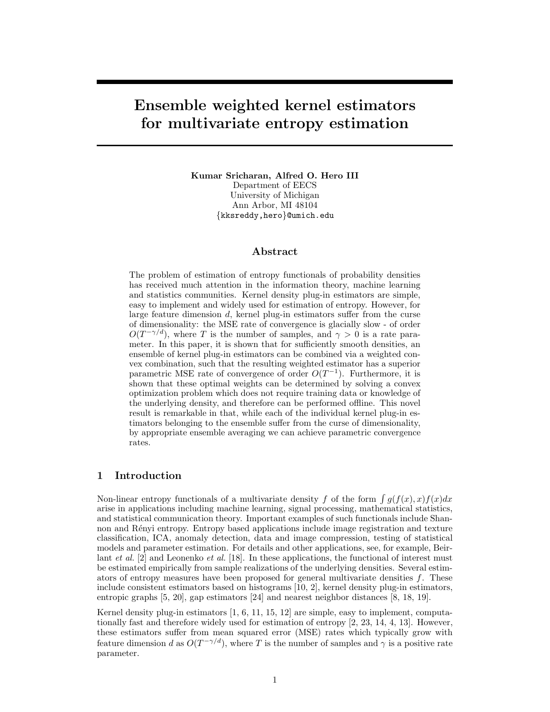# Ensemble weighted kernel estimators for multivariate entropy estimation

Kumar Sricharan, Alfred O. Hero III Department of EECS University of Michigan Ann Arbor, MI 48104 {kksreddy,hero}@umich.edu

# Abstract

The problem of estimation of entropy functionals of probability densities has received much attention in the information theory, machine learning and statistics communities. Kernel density plug-in estimators are simple, easy to implement and widely used for estimation of entropy. However, for large feature dimension d, kernel plug-in estimators suffer from the curse of dimensionality: the MSE rate of convergence is glacially slow - of order  $O(T^{-\gamma/d})$ , where T is the number of samples, and  $\gamma > 0$  is a rate parameter. In this paper, it is shown that for sufficiently smooth densities, an ensemble of kernel plug-in estimators can be combined via a weighted convex combination, such that the resulting weighted estimator has a superior parametric MSE rate of convergence of order  $O(T^{-1})$ . Furthermore, it is shown that these optimal weights can be determined by solving a convex optimization problem which does not require training data or knowledge of the underlying density, and therefore can be performed offline. This novel result is remarkable in that, while each of the individual kernel plug-in estimators belonging to the ensemble suffer from the curse of dimensionality, by appropriate ensemble averaging we can achieve parametric convergence rates.

# 1 Introduction

Non-linear entropy functionals of a multivariate density f of the form  $\int g(f(x), x) f(x) dx$ arise in applications including machine learning, signal processing, mathematical statistics, and statistical communication theory. Important examples of such functionals include Shannon and Rényi entropy. Entropy based applications include image registration and texture classification, ICA, anomaly detection, data and image compression, testing of statistical models and parameter estimation. For details and other applications, see, for example, Beirlant et al. [2] and Leonenko et al. [18]. In these applications, the functional of interest must be estimated empirically from sample realizations of the underlying densities. Several estimators of entropy measures have been proposed for general multivariate densities  $f$ . These include consistent estimators based on histograms [10, 2], kernel density plug-in estimators, entropic graphs [5, 20], gap estimators [24] and nearest neighbor distances [8, 18, 19].

Kernel density plug-in estimators [1, 6, 11, 15, 12] are simple, easy to implement, computationally fast and therefore widely used for estimation of entropy [2, 23, 14, 4, 13]. However, these estimators suffer from mean squared error (MSE) rates which typically grow with feature dimension d as  $O(T^{-\gamma/d})$ , where T is the number of samples and  $\gamma$  is a positive rate parameter.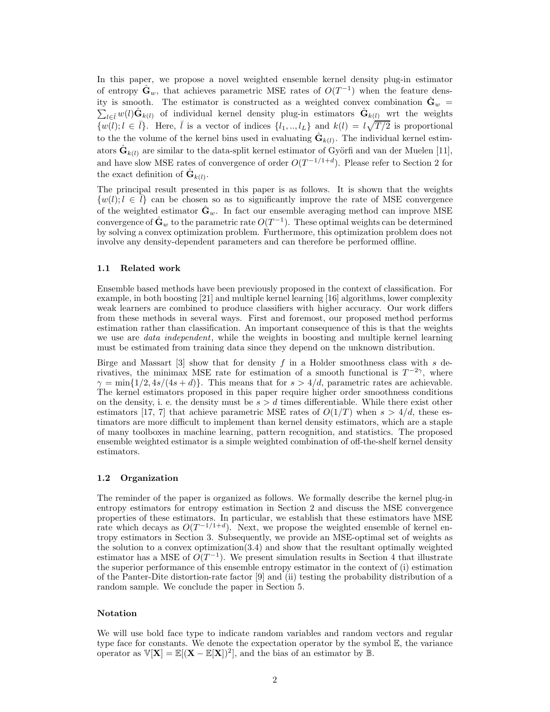In this paper, we propose a novel weighted ensemble kernel density plug-in estimator of entropy  $\hat{\mathbf{G}}_w$ , that achieves parametric MSE rates of  $O(T^{-1})$  when the feature density is smooth. The estimator is constructed as a weighted convex combination  $\hat{\mathbf{G}}_w$  = ity is smooth. The estimator is constructed as a weighted convex combination  $\mathbf{G}_w = \sum_{l \in \bar{l}} w(l) \hat{\mathbf{G}}_{k(l)}$  of individual kernel density plug-in estimators  $\hat{\mathbf{G}}_{k(l)}$  wrt the weights  $\{w(l); l \in \bar{l}\}\$ . Here,  $\bar{l}$  is a vector of indices  $\{l_1, ..., l_L\}$  and  $k(l) = l\sqrt{T/2}$  is proportional to the the volume of the kernel bins used in evaluating  $\hat{\mathbf{G}}_{k(l)}$ . The individual kernel estimators  $\hat{\mathbf{G}}_{k(l)}$  are similar to the data-split kernel estimator of Györfi and van der Muelen [11], and have slow MSE rates of convergence of order  $O(T^{-1/1+d})$ . Please refer to Section 2 for the exact definition of  $\hat{\mathbf{G}}_{k(l)}$ .

The principal result presented in this paper is as follows. It is shown that the weights  $\{w(l); l \in \ell\}$  can be chosen so as to significantly improve the rate of MSE convergence of the weighted estimator  $\hat{\mathbf{G}}_w$ . In fact our ensemble averaging method can improve MSE convergence of  $\hat{\mathbf{G}}_w$  to the parametric rate  $O(T^{-1})$ . These optimal weights can be determined by solving a convex optimization problem. Furthermore, this optimization problem does not involve any density-dependent parameters and can therefore be performed offline.

#### 1.1 Related work

Ensemble based methods have been previously proposed in the context of classification. For example, in both boosting [21] and multiple kernel learning [16] algorithms, lower complexity weak learners are combined to produce classifiers with higher accuracy. Our work differs from these methods in several ways. First and foremost, our proposed method performs estimation rather than classification. An important consequence of this is that the weights we use are *data independent*, while the weights in boosting and multiple kernel learning must be estimated from training data since they depend on the unknown distribution.

Birge and Massart  $\lceil 3 \rceil$  show that for density f in a Holder smoothness class with s derivatives, the minimax MSE rate for estimation of a smooth functional is  $T^{-2\gamma}$ , where  $\gamma = \min\{1/2, 4s/(4s+d)\}.$  This means that for  $s > 4/d$ , parametric rates are achievable. The kernel estimators proposed in this paper require higher order smoothness conditions on the density, i. e. the density must be  $s > d$  times differentiable. While there exist other estimators [17, 7] that achieve parametric MSE rates of  $O(1/T)$  when  $s > 4/d$ , these estimators are more difficult to implement than kernel density estimators, which are a staple of many toolboxes in machine learning, pattern recognition, and statistics. The proposed ensemble weighted estimator is a simple weighted combination of off-the-shelf kernel density estimators.

#### 1.2 Organization

The reminder of the paper is organized as follows. We formally describe the kernel plug-in entropy estimators for entropy estimation in Section 2 and discuss the MSE convergence properties of these estimators. In particular, we establish that these estimators have MSE rate which decays as  $O(T^{-1/1+d})$ . Next, we propose the weighted ensemble of kernel entropy estimators in Section 3. Subsequently, we provide an MSE-optimal set of weights as the solution to a convex optimization $(3.4)$  and show that the resultant optimally weighted estimator has a MSE of  $O(T^{-1})$ . We present simulation results in Section 4 that illustrate the superior performance of this ensemble entropy estimator in the context of (i) estimation of the Panter-Dite distortion-rate factor [9] and (ii) testing the probability distribution of a random sample. We conclude the paper in Section 5.

#### Notation

We will use bold face type to indicate random variables and random vectors and regular type face for constants. We denote the expectation operator by the symbol E, the variance operator as  $\mathbb{V}[\mathbf{X}] = \mathbb{E}[(\mathbf{X} - \mathbb{E}[\mathbf{X}])^2]$ , and the bias of an estimator by  $\mathbb{B}$ .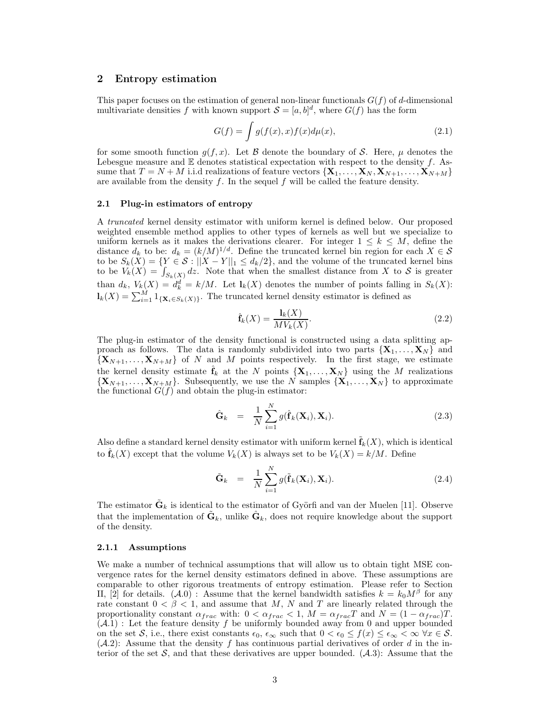# 2 Entropy estimation

This paper focuses on the estimation of general non-linear functionals  $G(f)$  of d-dimensional multivariate densities f with known support  $S = [a, b]^d$ , where  $G(f)$  has the form

$$
G(f) = \int g(f(x), x) f(x) d\mu(x), \qquad (2.1)
$$

for some smooth function  $g(f, x)$ . Let B denote the boundary of S. Here,  $\mu$  denotes the Lebesgue measure and  $E$  denotes statistical expectation with respect to the density  $f$ . Assume that  $T = N + M$  i.i.d realizations of feature vectors  $\{X_1, \ldots, X_N, X_{N+1}, \ldots, X_{N+M}\}$ are available from the density  $f$ . In the sequel  $f$  will be called the feature density.

#### 2.1 Plug-in estimators of entropy

A truncated kernel density estimator with uniform kernel is defined below. Our proposed weighted ensemble method applies to other types of kernels as well but we specialize to uniform kernels as it makes the derivations clearer. For integer  $1 \leq k \leq M$ , define the distance  $d_k$  to be:  $d_k = (k/M)^{1/d}$ . Define the truncated kernel bin region for each  $X \in \mathcal{S}$ to be  $S_k(X) = \{ Y \in \mathcal{S} : ||X - Y||_1 \le d_k/2 \}$ , and the volume of the truncated kernel bins to be  $V_k(X) = \int_{S_k(X)} dz$ . Note that when the smallest distance from X to S is greater than  $d_k$ ,  $V_k(X) = d_k^d = k/M$ . Let  $l_k(X)$  denotes the number of points falling in  $S_k(X)$ :  $\mathbf{l}_k(X) = \sum_{i=1}^M 1_{\{\mathbf{X}_i \in S_k(X)\}}$ . The truncated kernel density estimator is defined as

$$
\hat{\mathbf{f}}_k(X) = \frac{\mathbf{l}_k(X)}{MV_k(X)}.\tag{2.2}
$$

The plug-in estimator of the density functional is constructed using a data splitting approach as follows. The data is randomly subdivided into two parts  $\{X_1, \ldots, X_N\}$  and  $\{X_{N+1}, \ldots, X_{N+M}\}\$  of N and M points respectively. In the first stage, we estimate the kernel density estimate  $\hat{\mathbf{f}}_k$  at the N points  $\{X_1, \ldots, X_N\}$  using the M realizations  $\{X_{N+1}, \ldots, X_{N+M}\}\$ . Subsequently, we use the N samples  $\{X_1, \ldots, X_N\}\$ to approximate the functional  $G(f)$  and obtain the plug-in estimator:

$$
\hat{\mathbf{G}}_k = \frac{1}{N} \sum_{i=1}^N g(\hat{\mathbf{f}}_k(\mathbf{X}_i), \mathbf{X}_i).
$$
 (2.3)

Also define a standard kernel density estimator with uniform kernel  $\tilde{\mathbf{f}}_k(X)$ , which is identical to  $\hat{\mathbf{f}}_k(X)$  except that the volume  $V_k(X)$  is always set to be  $V_k(X) = k/M$ . Define

$$
\tilde{\mathbf{G}}_k = \frac{1}{N} \sum_{i=1}^N g(\tilde{\mathbf{f}}_k(\mathbf{X}_i), \mathbf{X}_i).
$$
 (2.4)

The estimator  $\tilde{\mathbf{G}}_k$  is identical to the estimator of Györfi and van der Muelen [11]. Observe that the implementation of  $\tilde{\mathbf{G}}_k$ , unlike  $\hat{\mathbf{G}}_k$ , does not require knowledge about the support of the density.

#### 2.1.1 Assumptions

We make a number of technical assumptions that will allow us to obtain tight MSE convergence rates for the kernel density estimators defined in above. These assumptions are comparable to other rigorous treatments of entropy estimation. Please refer to Section II, [2] for details.  $(A.0)$ : Assume that the kernel bandwidth satisfies  $k = k_0 M^{\beta}$  for any rate constant  $0 < \beta < 1$ , and assume that M, N and T are linearly related through the proportionality constant  $\alpha_{frac}$  with:  $0 < \alpha_{frac} < 1$ ,  $M = \alpha_{frac} T$  and  $N = (1 - \alpha_{frac}) T$ .  $(A.1)$ : Let the feature density f be uniformly bounded away from 0 and upper bounded on the set S, i.e., there exist constants  $\epsilon_0$ ,  $\epsilon_\infty$  such that  $0 < \epsilon_0 \le f(x) \le \epsilon_\infty < \infty \ \forall x \in \mathcal{S}$ .  $(A.2)$ : Assume that the density f has continuous partial derivatives of order d in the interior of the set  $S$ , and that these derivatives are upper bounded.  $(A.3)$ : Assume that the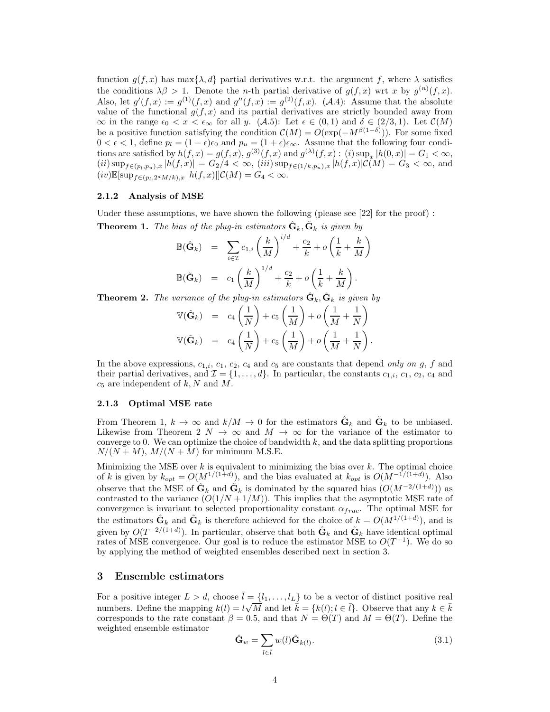function  $g(f, x)$  has max $\{\lambda, d\}$  partial derivatives w.r.t. the argument f, where  $\lambda$  satisfies the conditions  $\lambda \beta > 1$ . Denote the *n*-th partial derivative of  $g(f, x)$  wrt x by  $g^{(n)}(f, x)$ . Also, let  $g'(f,x) := g^{(1)}(f,x)$  and  $g''(f,x) := g^{(2)}(f,x)$ . (A.4): Assume that the absolute value of the functional  $g(f, x)$  and its partial derivatives are strictly bounded away from  $\infty$  in the range  $\epsilon_0 < x < \epsilon_\infty$  for all y. (A.5): Let  $\epsilon \in (0,1)$  and  $\delta \in (2/3,1)$ . Let  $\mathcal{C}(M)$ be a positive function satisfying the condition  $\mathcal{C}(M) = O(\exp(-M^{\beta(1-\delta)}))$ . For some fixed  $0 < \epsilon < 1$ , define  $p_l = (1 - \epsilon)\epsilon_0$  and  $p_u = (1 + \epsilon)\epsilon_\infty$ . Assume that the following four conditions are satisfied by  $h(f, x) = g(f, x), g^{(3)}(f, x)$  and  $g^{(\lambda)}(f, x) : (i) \sup_x |h(0, x)| = G_1 < \infty$ ,  $(iii)$  sup $_{f\in (p_l,p_u),x}$   $|h(f,x)| = G_2/4 < \infty$ ,  $(iii)$  sup $_{f\in (1/k,p_u),x}$   $|h(f,x)|\mathcal{C}(M) = G_3 < \infty$ , and  $(iv)\mathbb{E}[\sup_{f\in (p_l,2^dM/k),x}|h(f,x)||\mathcal{C}(M)=G_4<\infty.$ 

## 2.1.2 Analysis of MSE

Under these assumptions, we have shown the following (please see  $[22]$  for the proof) : **Theorem 1.** The bias of the plug-in estimators  $\hat{\mathbf{G}}_k$ ,  $\tilde{\mathbf{G}}_k$  is given by

$$
\mathbb{B}(\hat{\mathbf{G}}_k) = \sum_{i \in \mathcal{I}} c_{1,i} \left(\frac{k}{M}\right)^{i/d} + \frac{c_2}{k} + o\left(\frac{1}{k} + \frac{k}{M}\right)
$$

$$
\mathbb{B}(\tilde{\mathbf{G}}_k) = c_1 \left(\frac{k}{M}\right)^{1/d} + \frac{c_2}{k} + o\left(\frac{1}{k} + \frac{k}{M}\right).
$$

**Theorem 2.** The variance of the plug-in estimators  $\hat{\mathbf{G}}_k$ ,  $\tilde{\mathbf{G}}_k$  is given by

$$
\begin{array}{rcl}\n\mathbb{V}(\hat{\mathbf{G}}_k) & = & c_4\left(\frac{1}{N}\right) + c_5\left(\frac{1}{M}\right) + o\left(\frac{1}{M} + \frac{1}{N}\right) \\
\mathbb{V}(\tilde{\mathbf{G}}_k) & = & c_4\left(\frac{1}{N}\right) + c_5\left(\frac{1}{M}\right) + o\left(\frac{1}{M} + \frac{1}{N}\right).\n\end{array}
$$

In the above expressions,  $c_{1,i}$ ,  $c_1$ ,  $c_2$ ,  $c_4$  and  $c_5$  are constants that depend only on g, f and their partial derivatives, and  $\mathcal{I} = \{1, \ldots, d\}$ . In particular, the constants  $c_{1,i}$ ,  $c_1$ ,  $c_2$ ,  $c_4$  and  $c_5$  are independent of k, N and M.

#### 2.1.3 Optimal MSE rate

From Theorem 1,  $k \to \infty$  and  $k/M \to 0$  for the estimators  $\hat{\mathbf{G}}_k$  and  $\tilde{\mathbf{G}}_k$  to be unbiased. Likewise from Theorem 2  $N \to \infty$  and  $M \to \infty$  for the variance of the estimator to converge to 0. We can optimize the choice of bandwidth  $k$ , and the data splitting proportions  $N/(N + M)$ ,  $M/(N + M)$  for minimum M.S.E.

Minimizing the MSE over  $k$  is equivalent to minimizing the bias over  $k$ . The optimal choice of k is given by  $k_{opt} = O(M^{1/(1+d)})$ , and the bias evaluated at  $k_{opt}$  is  $O(M^{-1/(1+d)})$ . Also observe that the MSE of  $\hat{\mathbf{G}}_k$  and  $\tilde{\mathbf{G}}_k$  is dominated by the squared bias  $(O(M^{-2/(1+d)}))$  as contrasted to the variance  $(O(1/N + 1/M))$ . This implies that the asymptotic MSE rate of convergence is invariant to selected proportionality constant  $\alpha_{frac}$ . The optimal MSE for the estimators  $\hat{\mathbf{G}}_k$  and  $\tilde{\mathbf{G}}_k$  is therefore achieved for the choice of  $k = O(M^{1/(1+d)})$ , and is given by  $O(T^{-2/(1+d)})$ . In particular, observe that both  $\hat{\mathbf{G}}_k$  and  $\tilde{\mathbf{G}}_k$  have identical optimal rates of MSE convergence. Our goal is to reduce the estimator MSE to  $O(T^{-1})$ . We do so by applying the method of weighted ensembles described next in section 3.

#### 3 Ensemble estimators

For a positive integer  $L > d$ , choose  $\bar{l} = \{l_1, \ldots, l_L\}$  to be a vector of distinct positive real numbers. Define the mapping  $k(l) = l\sqrt{M}$  and let  $k = \{k(l); l \in \bar{l}\}$ . Observe that any  $k \in \bar{k}$ corresponds to the rate constant  $\beta = 0.5$ , and that  $N = \Theta(T)$  and  $M = \Theta(T)$ . Define the weighted ensemble estimator

$$
\hat{\mathbf{G}}_w = \sum_{l \in \bar{l}} w(l) \hat{\mathbf{G}}_{k(l)}.
$$
\n(3.1)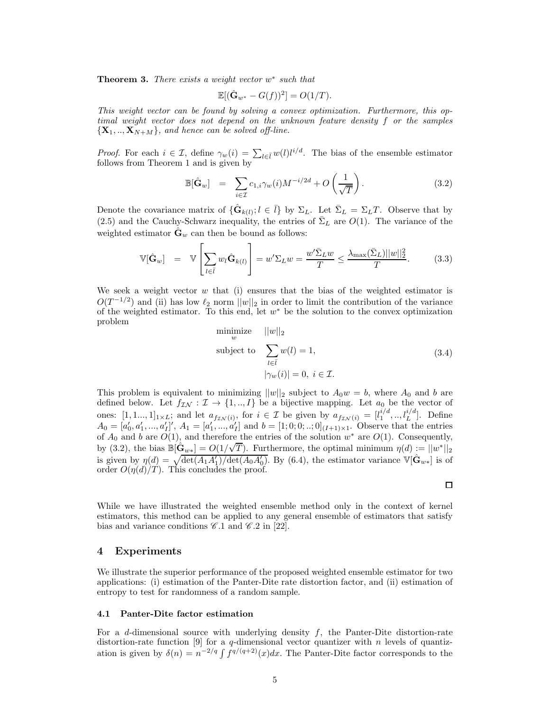**Theorem 3.** There exists a weight vector  $w^*$  such that

$$
\mathbb{E}[(\hat{\mathbf{G}}_{w^*} - G(f))^2] = O(1/T).
$$

This weight vector can be found by solving a convex optimization. Furthermore, this optimal weight vector does not depend on the unknown feature density f or the samples  ${X_1, ..., X_{N+M}}$ , and hence can be solved off-line.

*Proof.* For each  $i \in \mathcal{I}$ , define  $\gamma_w(i) = \sum_{l \in \bar{l}} w(l) l^{i/d}$ . The bias of the ensemble estimator follows from Theorem 1 and is given by

$$
\mathbb{B}[\hat{\mathbf{G}}_w] = \sum_{i \in \mathcal{I}} c_{1,i} \gamma_w(i) M^{-i/2d} + O\left(\frac{1}{\sqrt{T}}\right). \tag{3.2}
$$

Denote the covariance matrix of  $\{\hat{\mathbf{G}}_{k(l)}; l \in \overline{l}\}\$  by  $\Sigma_L$ . Let  $\overline{\Sigma}_L = \Sigma_L T$ . Observe that by (2.5) and the Cauchy-Schwarz inequality, the entries of  $\bar{\Sigma}_L$  are  $O(1)$ . The variance of the weighted estimator  $\mathbf{G}_w$  can then be bound as follows:

$$
\mathbb{V}[\hat{\mathbf{G}}_w] = \mathbb{V}\left[\sum_{l \in \bar{l}} w_l \hat{\mathbf{G}}_{k(l)}\right] = w' \Sigma_L w = \frac{w' \bar{\Sigma}_L w}{T} \le \frac{\lambda_{\max}(\bar{\Sigma}_L) ||w||_2^2}{T}.
$$
 (3.3)

We seek a weight vector  $w$  that (i) ensures that the bias of the weighted estimator is  $O(T^{-1/2})$  and (ii) has low  $\ell_2$  norm  $||w||_2$  in order to limit the contribution of the variance of the weighted estimator. To this end, let  $w^*$  be the solution to the convex optimization problem

minimize 
$$
||w||_2
$$
  
\nsubject to 
$$
\sum_{l \in \bar{l}} w(l) = 1,
$$
\n
$$
|\gamma_w(i)| = 0, \ i \in \mathcal{I}.
$$
\n(3.4)

 $\Box$ 

This problem is equivalent to minimizing  $||w||_2$  subject to  $A_0w = b$ , where  $A_0$  and b are defined below. Let  $f_{\mathcal{I}\mathcal{N}} : \mathcal{I} \to \{1, ..., I\}$  be a bijective mapping. Let  $a_0$  be the vector of ones:  $[1, 1, ..., 1]_{1 \times L}$ ; and let  $a_{f_{\mathcal{I}N}(i)}$ , for  $i \in \mathcal{I}$  be given by  $a_{f_{\mathcal{I}N}(i)} = [l_1^{i/d}, ..., l_L^{i/d}]$ . Define  $A_0 = [a'_0, a'_1, ..., a'_I]'$ ,  $A_1 = [a'_1, ..., a'_I]$  and  $b = [1; 0; 0; ...; 0]_{(I+1)\times 1}$ . Observe that the entries of  $A_0$  and b are  $O(1)$ , and therefore the entries of the solution  $w^*$  are  $O(1)$ . Consequently, by (3.2), the bias  $\mathbb{B}[\hat{\mathbf{G}}_{w*}] = O(1/\sqrt{T})$ . Furthermore, the optimal minimum  $\eta(d) := ||w^*||_2$ is given by  $\eta(d) = \sqrt{\det(A_1 A'_1)/\det(A_0 A'_0)}$ . By (6.4), the estimator variance  $\mathbb{V}[\hat{\mathbf{G}}_{w*}]$  is of order  $O(\eta(d)/T)$ . This concludes the proof.

While we have illustrated the weighted ensemble method only in the context of kernel estimators, this method can be applied to any general ensemble of estimators that satisfy bias and variance conditions  $\mathscr{C}.1$  and  $\mathscr{C}.2$  in [22].

## 4 Experiments

We illustrate the superior performance of the proposed weighted ensemble estimator for two applications: (i) estimation of the Panter-Dite rate distortion factor, and (ii) estimation of entropy to test for randomness of a random sample.

#### 4.1 Panter-Dite factor estimation

For a d-dimensional source with underlying density  $f$ , the Panter-Dite distortion-rate distortion-rate function [9] for a q-dimensional vector quantizer with n levels of quantization is given by  $\delta(n) = n^{-2/q} \int f^{q/(q+2)}(x) dx$ . The Panter-Dite factor corresponds to the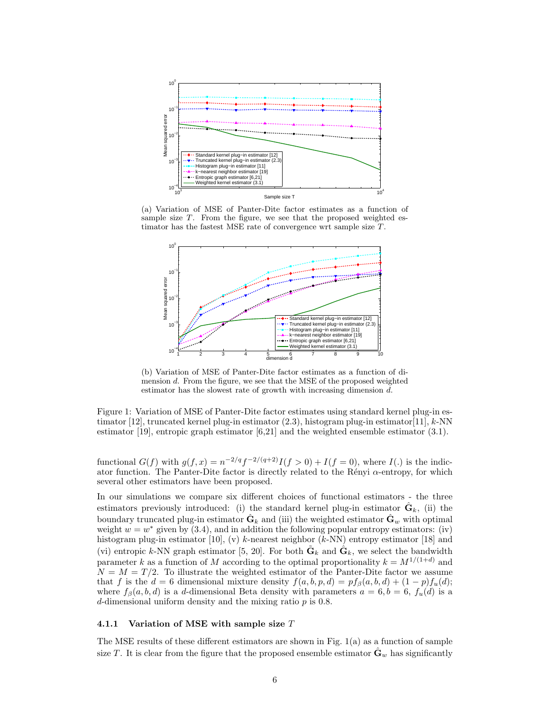

(a) Variation of MSE of Panter-Dite factor estimates as a function of sample size  $T$ . From the figure, we see that the proposed weighted estimator has the fastest MSE rate of convergence wrt sample size  $T$ .



(b) Variation of MSE of Panter-Dite factor estimates as a function of dimension  $d$ . From the figure, we see that the MSE of the proposed weighted estimator has the slowest rate of growth with increasing dimension d.

Figure 1: Variation of MSE of Panter-Dite factor estimates using standard kernel plug-in estimator [12], truncated kernel plug-in estimator  $(2.3)$ , histogram plug-in estimator [11], k-NN estimator [19], entropic graph estimator [6,21] and the weighted ensemble estimator (3.1).

functional  $G(f)$  with  $g(f,x) = n^{-2/q} f^{-2/(q+2)} I(f > 0) + I(f = 0)$ , where  $I(.)$  is the indicator function. The Panter-Dite factor is directly related to the Rényi  $\alpha$ -entropy, for which several other estimators have been proposed.

In our simulations we compare six different choices of functional estimators - the three estimators previously introduced: (i) the standard kernel plug-in estimator  $\hat{\mathbf{G}}_k$ , (ii) the boundary truncated plug-in estimator  $\hat{\mathbf{G}}_k$  and (iii) the weighted estimator  $\hat{\mathbf{G}}_w$  with optimal weight  $w = w^*$  given by (3.4), and in addition the following popular entropy estimators: (iv) histogram plug-in estimator [10], (v) k-nearest neighbor  $(k-NN)$  entropy estimator [18] and (vi) entropic k-NN graph estimator [5, 20]. For both  $\tilde{\mathbf{G}}_k$  and  $\hat{\mathbf{G}}_k$ , we select the bandwidth parameter k as a function of M according to the optimal proportionality  $k = M^{1/(1+d)}$  and  $N = M = T/2$ . To illustrate the weighted estimator of the Panter-Dite factor we assume that f is the  $d = 6$  dimensional mixture density  $f(a, b, p, d) = pf_{\beta}(a, b, d) + (1 - p)f_u(d);$ where  $f_\beta(a, b, d)$  is a d-dimensional Beta density with parameters  $a = 6, b = 6, f_u(d)$  is a d-dimensional uniform density and the mixing ratio  $p$  is 0.8.

#### 4.1.1 Variation of MSE with sample size T

The MSE results of these different estimators are shown in Fig. 1(a) as a function of sample size T. It is clear from the figure that the proposed ensemble estimator  $\hat{\mathbf{G}}_w$  has significantly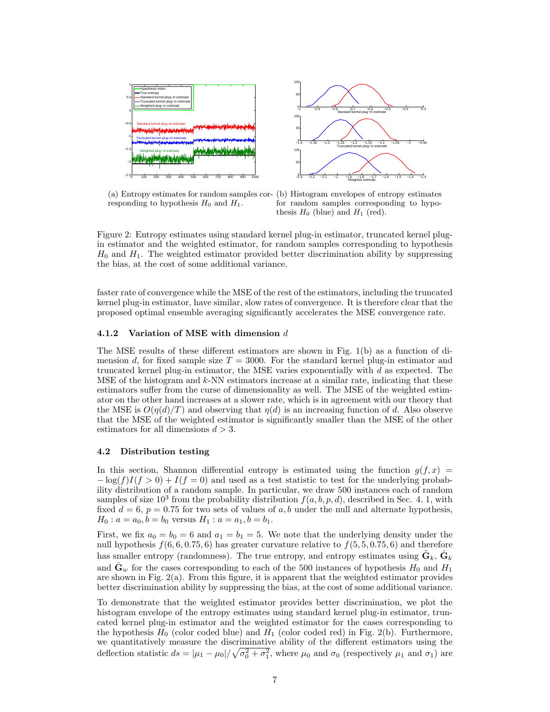

responding to hypothesis  $H_0$  and  $H_1$ .



Figure 2: Entropy estimates using standard kernel plug-in estimator, truncated kernel plugin estimator and the weighted estimator, for random samples corresponding to hypothesis  $H_0$  and  $H_1$ . The weighted estimator provided better discrimination ability by suppressing the bias, at the cost of some additional variance.

faster rate of convergence while the MSE of the rest of the estimators, including the truncated kernel plug-in estimator, have similar, slow rates of convergence. It is therefore clear that the proposed optimal ensemble averaging significantly accelerates the MSE convergence rate.

#### 4.1.2 Variation of MSE with dimension d

The MSE results of these different estimators are shown in Fig. 1(b) as a function of dimension d, for fixed sample size  $T = 3000$ . For the standard kernel plug-in estimator and truncated kernel plug-in estimator, the MSE varies exponentially with d as expected. The MSE of the histogram and  $k$ -NN estimators increase at a similar rate, indicating that these estimators suffer from the curse of dimensionality as well. The MSE of the weighted estimator on the other hand increases at a slower rate, which is in agreement with our theory that the MSE is  $O(\eta(d)/T)$  and observing that  $\eta(d)$  is an increasing function of d. Also observe that the MSE of the weighted estimator is significantly smaller than the MSE of the other estimators for all dimensions  $d > 3$ .

#### 4.2 Distribution testing

In this section, Shannon differential entropy is estimated using the function  $g(f, x)$  $-\log(f)I(f>0) + I(f=0)$  and used as a test statistic to test for the underlying probability distribution of a random sample. In particular, we draw 500 instances each of random samples of size  $10^3$  from the probability distribution  $f(a, b, p, d)$ , described in Sec. 4. 1, with fixed  $d = 6$ ,  $p = 0.75$  for two sets of values of a, b under the null and alternate hypothesis,  $H_0: a = a_0, b = b_0$  versus  $H_1: a = a_1, b = b_1.$ 

First, we fix  $a_0 = b_0 = 6$  and  $a_1 = b_1 = 5$ . We note that the underlying density under the null hypothesis  $f(6, 6, 0.75, 6)$  has greater curvature relative to  $f(5, 5, 0.75, 6)$  and therefore has smaller entropy (randomness). The true entropy, and entropy estimates using  $\tilde{\mathbf{G}}_k$ ,  $\hat{\mathbf{G}}_k$ and  $\mathbf{G}_w$  for the cases corresponding to each of the 500 instances of hypothesis  $H_0$  and  $H_1$ are shown in Fig. 2(a). From this figure, it is apparent that the weighted estimator provides better discrimination ability by suppressing the bias, at the cost of some additional variance.

To demonstrate that the weighted estimator provides better discrimination, we plot the histogram envelope of the entropy estimates using standard kernel plug-in estimator, truncated kernel plug-in estimator and the weighted estimator for the cases corresponding to the hypothesis  $H_0$  (color coded blue) and  $H_1$  (color coded red) in Fig. 2(b). Furthermore, we quantitatively measure the discriminative ability of the different estimators using the deflection statistic  $ds = |\mu_1 - \mu_0| / \sqrt{\sigma_0^2 + \sigma_1^2}$ , where  $\mu_0$  and  $\sigma_0$  (respectively  $\mu_1$  and  $\sigma_1$ ) are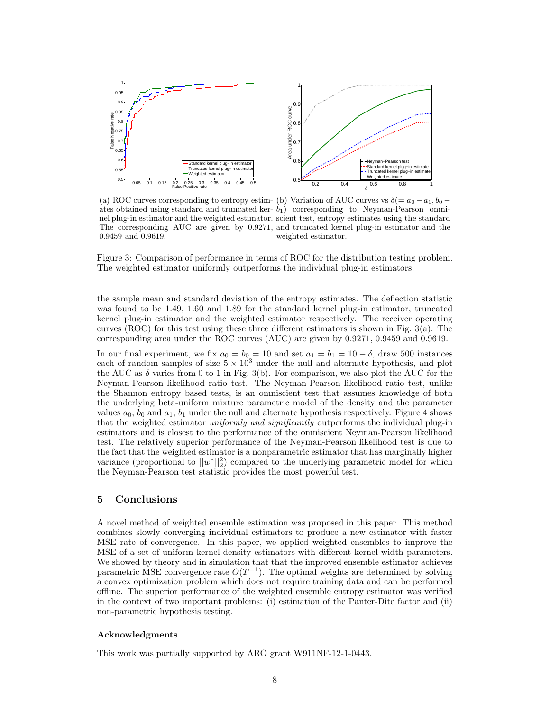

(a) ROC curves corresponding to entropy estim- (b) Variation of AUC curves vs  $\delta$  (=  $a_0 - a_1$ ,  $b_0$  – ates obtained using standard and truncated ker- $b_1$ ) corresponding to Neyman-Pearson omninel plug-in estimator and the weighted estimator. scient test, entropy estimates using the standard The corresponding AUC are given by 0.9271, and truncated kernel plug-in estimator and the 0.9459 and 0.9619. weighted estimator.

Figure 3: Comparison of performance in terms of ROC for the distribution testing problem. The weighted estimator uniformly outperforms the individual plug-in estimators.

the sample mean and standard deviation of the entropy estimates. The deflection statistic was found to be 1.49, 1.60 and 1.89 for the standard kernel plug-in estimator, truncated kernel plug-in estimator and the weighted estimator respectively. The receiver operating curves (ROC) for this test using these three different estimators is shown in Fig.  $3(a)$ . The corresponding area under the ROC curves (AUC) are given by 0.9271, 0.9459 and 0.9619.

In our final experiment, we fix  $a_0 = b_0 = 10$  and set  $a_1 = b_1 = 10 - \delta$ , draw 500 instances each of random samples of size  $5 \times 10^3$  under the null and alternate hypothesis, and plot the AUC as  $\delta$  varies from 0 to 1 in Fig. 3(b). For comparison, we also plot the AUC for the Neyman-Pearson likelihood ratio test. The Neyman-Pearson likelihood ratio test, unlike the Shannon entropy based tests, is an omniscient test that assumes knowledge of both the underlying beta-uniform mixture parametric model of the density and the parameter values  $a_0$ ,  $b_0$  and  $a_1$ ,  $b_1$  under the null and alternate hypothesis respectively. Figure 4 shows that the weighted estimator *uniformly and significantly* outperforms the individual plug-in estimators and is closest to the performance of the omniscient Neyman-Pearson likelihood test. The relatively superior performance of the Neyman-Pearson likelihood test is due to the fact that the weighted estimator is a nonparametric estimator that has marginally higher variance (proportional to  $||w^*||_2^2$ ) compared to the underlying parametric model for which the Neyman-Pearson test statistic provides the most powerful test.

# 5 Conclusions

A novel method of weighted ensemble estimation was proposed in this paper. This method combines slowly converging individual estimators to produce a new estimator with faster MSE rate of convergence. In this paper, we applied weighted ensembles to improve the MSE of a set of uniform kernel density estimators with different kernel width parameters. We showed by theory and in simulation that that the improved ensemble estimator achieves parametric MSE convergence rate  $O(T^{-1})$ . The optimal weights are determined by solving a convex optimization problem which does not require training data and can be performed offline. The superior performance of the weighted ensemble entropy estimator was verified in the context of two important problems: (i) estimation of the Panter-Dite factor and (ii) non-parametric hypothesis testing.

#### Acknowledgments

This work was partially supported by ARO grant W911NF-12-1-0443.